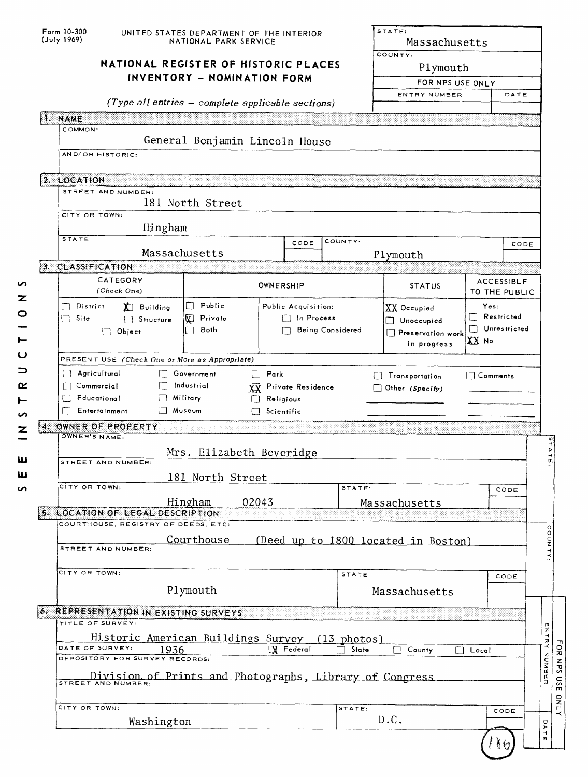| Form 10-300<br>(July 1969)                                              | UNITED STATES DEPARTMENT OF THE INTERIOR<br>NATIONAL PARK SERVICE |                                                                     | STATE:<br>Massachusetts<br>COUNTY: |                                                                                                                      |                              |      |              |
|-------------------------------------------------------------------------|-------------------------------------------------------------------|---------------------------------------------------------------------|------------------------------------|----------------------------------------------------------------------------------------------------------------------|------------------------------|------|--------------|
|                                                                         |                                                                   | NATIONAL REGISTER OF HISTORIC PLACES<br>INVENTORY - NOMINATION FORM |                                    |                                                                                                                      | Plymouth<br>FOR NPS USE ONLY |      |              |
|                                                                         | (Type all entries - complete applicable sections)                 |                                                                     | ENTRY NUMBER                       | DATE                                                                                                                 |                              |      |              |
| 1. NAME                                                                 |                                                                   |                                                                     |                                    |                                                                                                                      |                              |      |              |
| COMMON:                                                                 |                                                                   |                                                                     |                                    |                                                                                                                      |                              |      |              |
| AND/OR HISTORIC:                                                        | General Benjamin Lincoln House                                    |                                                                     |                                    |                                                                                                                      |                              |      |              |
|                                                                         |                                                                   |                                                                     |                                    |                                                                                                                      |                              |      |              |
| 2. LOCATION<br>STREET AND NUMBER:                                       |                                                                   |                                                                     |                                    |                                                                                                                      |                              |      |              |
|                                                                         | 181 North Street                                                  |                                                                     |                                    |                                                                                                                      |                              |      |              |
| CITY OR TOWN:<br>Hingham                                                |                                                                   |                                                                     |                                    |                                                                                                                      |                              |      |              |
| <b>STATE</b>                                                            |                                                                   | CODE                                                                | COUNTY:                            |                                                                                                                      |                              | CODE |              |
| Massachusetts<br>3. CLASSIFICATION                                      |                                                                   |                                                                     |                                    | Plymouth                                                                                                             |                              |      |              |
| CATEGORY                                                                |                                                                   |                                                                     |                                    |                                                                                                                      | <b>ACCESSIBLE</b>            |      |              |
| (Check One)                                                             | OWNERSHIP                                                         |                                                                     |                                    | <b>STATUS</b>                                                                                                        | TO THE PUBLIC                |      |              |
| District<br>X Building<br>$\Box$ Site                                   | Public<br>$\vert \ \ \vert$<br>Private                            | Public Acquisition:<br>$\Box$ In Process                            |                                    | Yes:<br><b>XX</b> Occupied<br>Restricted<br>$\Box$ Unoccupied<br>Unrestricted<br>$\blacksquare$<br>Preservation work |                              |      |              |
| Structure<br>$\Box$ Object                                              | V)<br>Both<br>П                                                   |                                                                     | <b>Being Considered</b>            |                                                                                                                      |                              |      |              |
| $XX$ No<br>in progress                                                  |                                                                   |                                                                     |                                    |                                                                                                                      |                              |      |              |
| PRESENT USE (Check One or More as Appropriate)                          |                                                                   |                                                                     |                                    |                                                                                                                      |                              |      |              |
| Agricultural<br>$\Box$ Commercial                                       | $\Box$ Government<br>Park<br>$\Box$<br>Industrial                 | Private Residence                                                   |                                    | Transportation                                                                                                       | $\Box$ Comments              |      |              |
| Educational<br>$\Box$ Military                                          | ХX                                                                | Religious                                                           |                                    | Other (Specify)                                                                                                      |                              |      |              |
| Entertainment<br>l∏ Museum                                              | $\Box$ Scientific                                                 |                                                                     |                                    |                                                                                                                      |                              |      |              |
| 4. OWNER OF PROPERTY<br>OWNER'S NAME:                                   |                                                                   |                                                                     |                                    |                                                                                                                      |                              |      |              |
|                                                                         | Mrs. Elizabeth Beveridge                                          |                                                                     |                                    |                                                                                                                      |                              |      |              |
| STREET AND NUMBER:                                                      |                                                                   |                                                                     |                                    |                                                                                                                      |                              |      |              |
| CITY OR TOWN:                                                           | 181 North Street                                                  |                                                                     | STATE:                             |                                                                                                                      |                              | CODE |              |
|                                                                         | 02043<br>Hingham                                                  |                                                                     |                                    | Massachusetts                                                                                                        |                              |      |              |
| 5. LOCATION OF LEGAL DESCRIPTION<br>COURTHOUSE, REGISTRY OF DEEDS, ETC: |                                                                   |                                                                     |                                    |                                                                                                                      |                              |      |              |
|                                                                         | <u>Courthouse</u>                                                 |                                                                     |                                    | (Deed up to 1800 located in Boston)                                                                                  |                              |      | COUNTY:      |
| STREET AND NUMBER:                                                      |                                                                   |                                                                     |                                    |                                                                                                                      |                              |      |              |
| CITY OR TOWN:                                                           |                                                                   |                                                                     | STATE                              |                                                                                                                      |                              | CODE |              |
|                                                                         | Plymouth                                                          |                                                                     |                                    | Massachusetts                                                                                                        |                              |      |              |
|                                                                         |                                                                   |                                                                     |                                    |                                                                                                                      |                              |      |              |
| <b>O. REPRESENTATION IN EXISTING SURVEYS</b><br>TITLE OF SURVEY:        |                                                                   |                                                                     |                                    |                                                                                                                      |                              |      |              |
|                                                                         | Historic American Buildings Survey                                |                                                                     | $(13$ photos)                      |                                                                                                                      |                              |      |              |
| DATE OF SURVEY:<br>1936<br>DEPOSITORY FOR SURVEY RECORDS:               |                                                                   | X Federal                                                           | State                              | County<br>$\mathbf{I}$                                                                                               | Local                        |      |              |
| Division of Prints and Photographs, Library of Congress                 |                                                                   |                                                                     |                                    |                                                                                                                      |                              |      | ENTRY NUMBER |
| CITY OR TOWN:                                                           |                                                                   |                                                                     | STATE:                             |                                                                                                                      | CODE                         |      |              |
|                                                                         |                                                                   |                                                                     |                                    |                                                                                                                      |                              |      |              |
| Washington                                                              |                                                                   |                                                                     |                                    | D.C.                                                                                                                 |                              |      | D A<br>뉴     |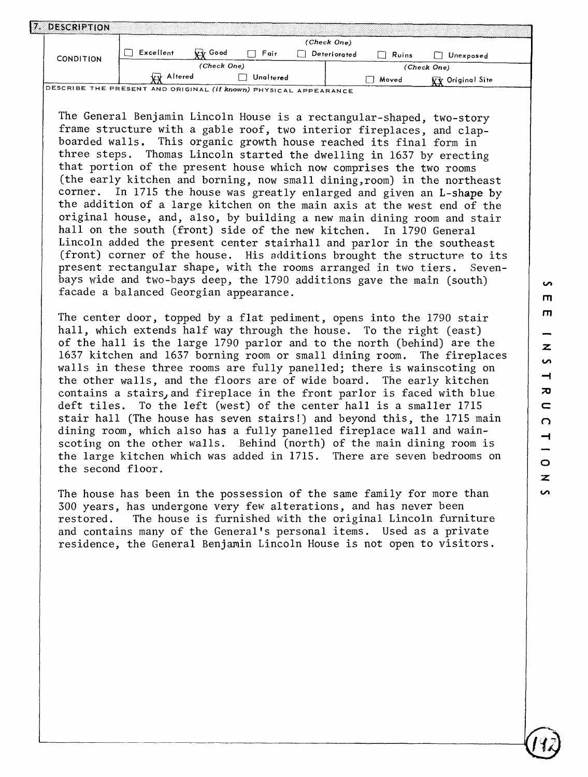|                  |            | (Check One)   |           |  |              |              |                         |  |  |  |
|------------------|------------|---------------|-----------|--|--------------|--------------|-------------------------|--|--|--|
| <b>CONDITION</b> | Excellent  | Good<br>br tr | Fair      |  | Deteriorated | $\Box$ Ruins | Unexposed               |  |  |  |
|                  |            | (Check One)   |           |  |              |              | (Check One)             |  |  |  |
|                  | vv Altered |               | Unaltered |  |              | Moved        | <b>VV</b> Original Site |  |  |  |

The General Benjamin Lincoln House is a rectangular-shaped, two-story frame structure with a gable roof, two interior fireplaces, and clapboarded walls. This organic growth house reached its final form in three steps. Thomas Lincoln started the dwelling in 1637 by erecting that portion of the present house which now comprises the two rooms (the early kitchen and borning, now small dining,room) in the northeast corner. In 1715 the house was greatly enlarged and given an L-shape by the addition of a large kitchen on the main axis at the west end of the original house, and, also, by building a new main dining room and stair hall on the south (front) side of the new kitchen. In 1790 General Lincoln added the present center stairhall and parlor in the southeast (front) corner of the house. His additions brought the structure to its present rectangular shape, with the rooms arranged in two tiers. Sevenbays wide and two-bays deep, the 1790 additions gave the main (south) facade a balanced Georgian appearance.

The center door, topped by a flat pediment, opens into the 1790 stair hall, which extends half way through the house. To the right (east) of the hall is the large 1790 parlor and to the north (behind) are the 1637 kitchen and 1637 borning room or small dining room. The fireplaces walls in these three rooms are fully panelled; there is wainscoting on the other walls, and the floors are of wide board. The early kitchen contains a stairs, and fireplace in the front parlor is faced with blue deft tiles. To the left (west) of the center hall is a smaller 1715 stair hall (The house has seven stairs!) and beyond this, the 1715 main dining room, which also has a fully panelled fireplace wall and wainscoting on the other walls. Behind (north) of the main dining room is the large kitchen which was added in 1715. There are seven bedrooms on the second floor.

The house has been in the possession of the same family for more than 300 years, has undergone very few alterations, and has never been restored. The house is furnished with the original Lincoln furniture and contains many of the General's personal items. Used as a private residence, the General Benjamin Lincoln House is not open to visitors.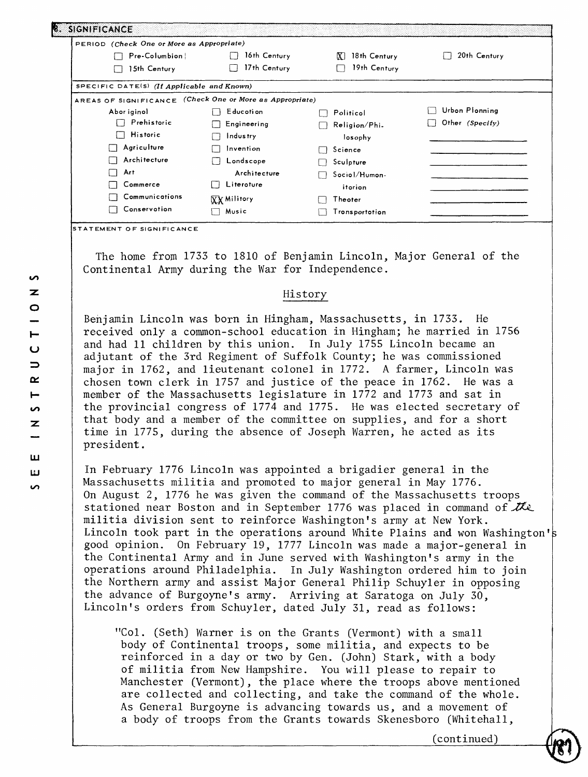| . SIGNIFICANCE                                           |                    |                      |                        |
|----------------------------------------------------------|--------------------|----------------------|------------------------|
| PERIOD (Check One or More as Appropriate)                |                    |                      |                        |
| Pre-Columbion                                            | 16th Century       | 18th Century<br>IX I | 20th Century           |
| 15th Century                                             | 17th Century       | 19th Century         |                        |
| SPECIFIC DATE(S) (If Applicable and Known)               |                    |                      |                        |
| AREAS OF SIGNIFICANCE (Check One or More as Appropriate) |                    |                      |                        |
| Abor iginol                                              | Educotion          | Politicol            | Urbon Plonning         |
| Prehistoric                                              | Engineering        | Religion/Phi.        | Other (Specify)<br>I F |
| <b>Historic</b><br>U                                     | Industry           | losophy              |                        |
| Agriculture                                              | Invention          | Science              |                        |
| Architecture                                             | Londscope          | Sculpture            |                        |
| Art                                                      | Architecture       | Sociol/Humon-        |                        |
| Commerce                                                 | Literoture         | itorion              |                        |
| Communications                                           | <b>XX Militory</b> | Theoter              |                        |
| Conservotion                                             | Music              | Tronsportotion       |                        |

**STATEMENT OF SIGNIFICANCE** 

The home from 1733 to 181Q of Benjamin Lincoln, Major General of the Continental Army during the War for Independence.

#### History

Benjamin Lincoln was born in Hingham, Massachusetts, in 1733. He received only a common-school education in Hingham; he married in 1756 and had 11 children by this union. In July 1755 Lincoln became an adjutant of the 3rd Regiment of Suffolk County; he was commissioned major in 1762, and lieutenant colonel in 1772. A farmer, Lincoln was chosen town clerk in 1757 and justice of the peace in 1762. He was a member of the Massachusetts legislature in 1772 and 1773 and sat in the provincial congress of 1774 and 1775. He was elected secretary of that body and a member of the committee on supplies, and for a short time in 1775, during the absence of Joseph Warren, he acted as its president.

In February 1776 Lincoln was appointed a brigadier general in the Massachusetts militia and promoted to major general in May 1776. On August 2, 1776 he was given the command of the Massachusetts troops stationed near Boston and in September 1776 was placed in command of  $K\!\!\!\!N\!\!\!\!>$ militia division sent to reinforce Washington's army at New York. Lincoln took part in the operations around White Plains and won Washington's good opinion. On February 19, 1777 Lincoln was made a major-general in the Continental Army and in June served with Washington's army in the operations around Philadelphia. In July Washington ordered him to join the Northern army and assist Major General Philip Schuyler in opposing the advance of Burgoyne's army. Arriving at Saratoga on July 30, Lincoln's orders from Schuyler, dated July 31, read as follows:

"Col. (Seth) Warner is on the Grants (Vermont) with a small body of Continental troops, some militia, and expects to be reinforced in a day or two by Gen. (John) Stark, with a body of militia from New Hampshire. You will please to repair to Manchester (Vermont), the place where the troops above mentioned are collected and collecting, and take the command of the whole. As General Burgoyne is advancing towards us, and a movement of a body of troops from the Grants towards Skenesboro (Whitehall,

(continued)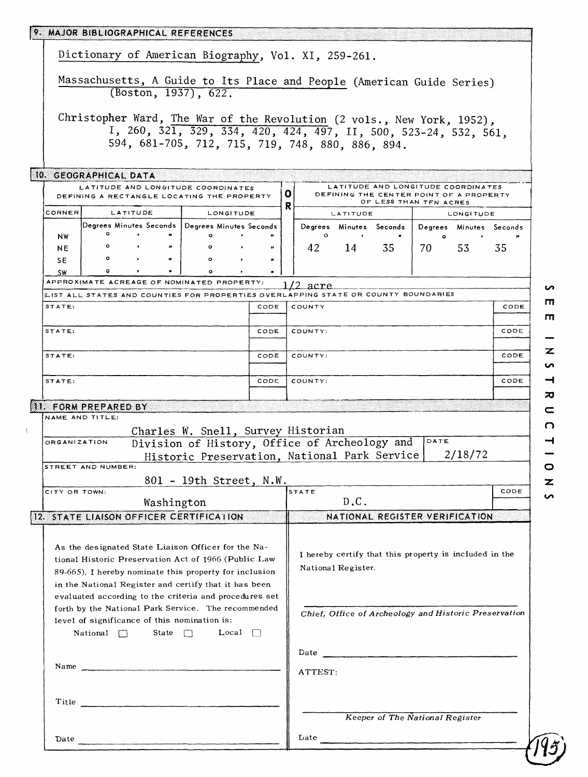|                                                                        |                                                                                                                 |          |                                        | 9. MAJOR BIBLIOGRAPHICAL REFERENCES |                         |              |      |   |                                                  |                    |                                                                                    |      |                                                                                                                                                                                                                                      |      |
|------------------------------------------------------------------------|-----------------------------------------------------------------------------------------------------------------|----------|----------------------------------------|-------------------------------------|-------------------------|--------------|------|---|--------------------------------------------------|--------------------|------------------------------------------------------------------------------------|------|--------------------------------------------------------------------------------------------------------------------------------------------------------------------------------------------------------------------------------------|------|
|                                                                        | Dictionary of American Biography, Vol. XI, 259-261.                                                             |          |                                        |                                     |                         |              |      |   |                                                  |                    |                                                                                    |      |                                                                                                                                                                                                                                      |      |
| Massachusetts, A Guide to Its Place and People (American Guide Series) |                                                                                                                 |          |                                        |                                     |                         |              |      |   |                                                  |                    |                                                                                    |      |                                                                                                                                                                                                                                      |      |
| (Boston, 1937), 622.                                                   |                                                                                                                 |          |                                        |                                     |                         |              |      |   |                                                  |                    |                                                                                    |      |                                                                                                                                                                                                                                      |      |
|                                                                        |                                                                                                                 |          |                                        |                                     |                         |              |      |   |                                                  |                    |                                                                                    |      |                                                                                                                                                                                                                                      |      |
|                                                                        |                                                                                                                 |          |                                        |                                     |                         |              |      |   |                                                  |                    |                                                                                    |      | Christopher Ward, The War of the Revolution (2 vols., New York, 1952),                                                                                                                                                               |      |
|                                                                        |                                                                                                                 |          |                                        |                                     |                         |              |      |   | 594, 681-705, 712, 715, 719, 748, 880, 886, 894. |                    |                                                                                    |      | I, 260, 321, 329, 334, 420, 424, 497, II, 500, 523-24, 532, 561,                                                                                                                                                                     |      |
|                                                                        |                                                                                                                 |          |                                        |                                     |                         |              |      |   |                                                  |                    |                                                                                    |      |                                                                                                                                                                                                                                      |      |
|                                                                        | 10. GEOGRAPHICAL DATA                                                                                           |          |                                        |                                     |                         |              |      |   |                                                  |                    |                                                                                    |      |                                                                                                                                                                                                                                      |      |
|                                                                        | LATITUDE AND LONGITUDE COORDINATES<br>DEFINING A RECTANGLE LOCATING THE PROPERTY                                |          |                                        |                                     |                         |              |      | O |                                                  |                    |                                                                                    |      | LATITUDE AND LONGITUDE COORDINATES<br>DEFINING THE CENTER POINT OF A PROPERTY                                                                                                                                                        |      |
| CORNER                                                                 |                                                                                                                 | LATITUDE |                                        |                                     | LONGITUDE               |              |      | R |                                                  | LATITUDE           | OF LESS THAN TFN ACRES                                                             |      | LONGITUDE                                                                                                                                                                                                                            |      |
|                                                                        | Degrees Minutes Seconds   Degrees Minutes Seconds                                                               |          |                                        |                                     |                         |              |      |   |                                                  |                    | Degrees Minutes Seconds                                                            |      | Degrees Minutes Seconds                                                                                                                                                                                                              |      |
| NW                                                                     | $\circ$                                                                                                         | $\cdot$  |                                        |                                     | ۰                       |              |      |   | $\circ$                                          | $\bullet$          |                                                                                    |      | $\mathbf{o}$                                                                                                                                                                                                                         |      |
| <b>NE</b>                                                              | $\circ$<br>$\circ$                                                                                              | $\cdot$  | $\boldsymbol{\mu}$<br>$\boldsymbol{r}$ |                                     | ۰<br>۰                  |              |      |   | 42                                               | 14                 | 35                                                                                 | 70   | 53                                                                                                                                                                                                                                   | 35   |
| SE<br><b>SW</b>                                                        | $\mathbf{Q}$                                                                                                    |          |                                        |                                     |                         |              |      |   |                                                  |                    |                                                                                    |      |                                                                                                                                                                                                                                      |      |
|                                                                        | APPROXIMATE ACREAGE OF NOMINATED PROPERTY:                                                                      |          |                                        |                                     |                         |              |      |   | $1/2$ acre                                       |                    |                                                                                    |      |                                                                                                                                                                                                                                      |      |
|                                                                        |                                                                                                                 |          |                                        |                                     |                         |              |      |   |                                                  |                    | LIST ALL STATES AND COUNTIES FOR PROPERTIES OVERLAPPING STATE OR COUNTY BOUNDARIES |      |                                                                                                                                                                                                                                      |      |
| STATE:                                                                 |                                                                                                                 |          |                                        |                                     |                         |              | CODE |   | COUNTY                                           |                    |                                                                                    |      |                                                                                                                                                                                                                                      | CODE |
| STATE:                                                                 |                                                                                                                 |          |                                        |                                     |                         | CODE         |      |   | COUNTY:                                          |                    |                                                                                    |      |                                                                                                                                                                                                                                      | CODE |
|                                                                        |                                                                                                                 |          |                                        |                                     |                         |              |      |   |                                                  |                    |                                                                                    |      |                                                                                                                                                                                                                                      |      |
| STATE:                                                                 |                                                                                                                 |          |                                        |                                     |                         | CODE         |      |   | COUNTY:                                          |                    |                                                                                    |      |                                                                                                                                                                                                                                      | CODE |
|                                                                        |                                                                                                                 |          |                                        |                                     |                         |              |      |   |                                                  |                    |                                                                                    |      |                                                                                                                                                                                                                                      |      |
| STATE:                                                                 |                                                                                                                 |          |                                        |                                     |                         |              |      |   |                                                  |                    |                                                                                    |      |                                                                                                                                                                                                                                      |      |
|                                                                        |                                                                                                                 |          |                                        |                                     |                         |              | CODE |   | COUNTY:                                          |                    |                                                                                    |      |                                                                                                                                                                                                                                      | CODE |
|                                                                        |                                                                                                                 |          |                                        |                                     |                         |              |      |   |                                                  |                    |                                                                                    |      |                                                                                                                                                                                                                                      |      |
|                                                                        | 11. FORM PREPARED BY<br>NAME AND TITLE:                                                                         |          |                                        |                                     |                         |              |      |   |                                                  |                    |                                                                                    |      |                                                                                                                                                                                                                                      |      |
|                                                                        |                                                                                                                 |          |                                        |                                     |                         |              |      |   | Charles W. Snell, Survey Historian               |                    |                                                                                    |      |                                                                                                                                                                                                                                      |      |
| <b>ORGANIZATION</b>                                                    |                                                                                                                 |          |                                        |                                     |                         |              |      |   |                                                  |                    | Division of History, Office of Archeology and                                      | DATE |                                                                                                                                                                                                                                      |      |
|                                                                        |                                                                                                                 |          |                                        |                                     |                         |              |      |   |                                                  |                    | Historic Preservation, National Park Service                                       |      | 2/18/72                                                                                                                                                                                                                              |      |
|                                                                        | STREET AND NUMBER:                                                                                              |          |                                        |                                     |                         |              |      |   |                                                  |                    |                                                                                    |      |                                                                                                                                                                                                                                      |      |
|                                                                        |                                                                                                                 |          |                                        |                                     | 801 - 19th Street, N.W. |              |      |   | STATE                                            |                    |                                                                                    |      |                                                                                                                                                                                                                                      | CODE |
|                                                                        |                                                                                                                 |          |                                        | Washington                          |                         |              |      |   |                                                  | D.C.               |                                                                                    |      |                                                                                                                                                                                                                                      |      |
| CITY OR TOWN:                                                          | 12. STATE LIAISON OFFICER CERTIFICATION                                                                         |          |                                        |                                     |                         |              |      |   |                                                  |                    |                                                                                    |      | NATIONAL REGISTER VERIFICATION                                                                                                                                                                                                       |      |
|                                                                        |                                                                                                                 |          |                                        |                                     |                         |              |      |   |                                                  |                    |                                                                                    |      |                                                                                                                                                                                                                                      |      |
|                                                                        | As the designated State Liaison Officer for the Na-                                                             |          |                                        |                                     |                         |              |      |   |                                                  |                    |                                                                                    |      | I hereby certify that this property is included in the                                                                                                                                                                               |      |
|                                                                        | tional Historic Preservation Act of 1966 (Public Law                                                            |          |                                        |                                     |                         |              |      |   |                                                  | National Register. |                                                                                    |      |                                                                                                                                                                                                                                      |      |
|                                                                        | 89-665). I hereby nominate this property for inclusion                                                          |          |                                        |                                     |                         |              |      |   |                                                  |                    |                                                                                    |      |                                                                                                                                                                                                                                      |      |
|                                                                        | in the National Register and certify that it has been<br>evaluated according to the criteria and procedures set |          |                                        |                                     |                         |              |      |   |                                                  |                    |                                                                                    |      |                                                                                                                                                                                                                                      |      |
|                                                                        | forth by the National Park Service. The recommended                                                             |          |                                        |                                     |                         |              |      |   |                                                  |                    |                                                                                    |      | Chief, Office of Archeology and Historic Preservation                                                                                                                                                                                |      |
|                                                                        | level of significance of this nomination is:                                                                    |          |                                        |                                     |                         |              |      |   |                                                  |                    |                                                                                    |      |                                                                                                                                                                                                                                      |      |
|                                                                        | National $\Box$                                                                                                 |          |                                        | State $\Box$                        |                         | Local $\Box$ |      |   |                                                  |                    |                                                                                    |      |                                                                                                                                                                                                                                      |      |
|                                                                        |                                                                                                                 |          |                                        |                                     |                         |              |      |   |                                                  |                    |                                                                                    |      |                                                                                                                                                                                                                                      |      |
|                                                                        | Name                                                                                                            |          |                                        |                                     |                         |              |      |   | ATTEST:                                          |                    |                                                                                    |      |                                                                                                                                                                                                                                      |      |
|                                                                        |                                                                                                                 |          |                                        |                                     |                         |              |      |   |                                                  |                    |                                                                                    |      |                                                                                                                                                                                                                                      |      |
|                                                                        |                                                                                                                 |          |                                        |                                     |                         |              |      |   |                                                  |                    |                                                                                    |      |                                                                                                                                                                                                                                      |      |
|                                                                        | Title                                                                                                           |          |                                        |                                     |                         |              |      |   |                                                  |                    |                                                                                    |      |                                                                                                                                                                                                                                      |      |
| Date _                                                                 |                                                                                                                 |          |                                        |                                     |                         |              |      |   |                                                  |                    | Keeper of The National Register                                                    |      | Date <b>Contract Contract Contract Contract Contract Contract Contract Contract Contract Contract Contract Contract Contract Contract Contract Contract Contract Contract Contract Contract Contract Contract Contract Contract </b> |      |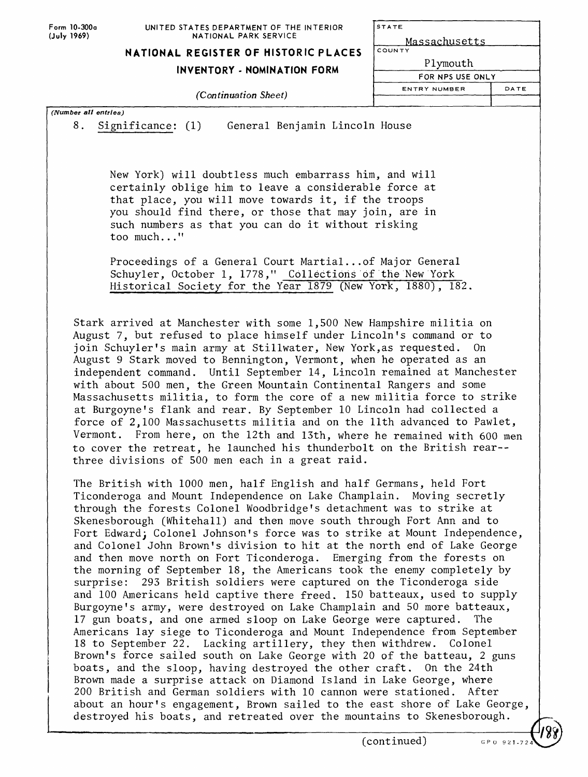**Form 10-300a (July 1969)**

STATE

Massachusetts COUNT

## **NATIONAL REGISTER OF HISTORIC PLACES**

#### **INVENTORY - NOMINATION FORM**

*(Continuation Sheet)*

|    | <u>rassaciuscccs</u> |
|----|----------------------|
| гΥ |                      |
|    | Plymouth             |

FOR NPS USE ONLY **ENTRY NUMBER** DATE

*(Number all entries)*

8. Significance; (1) General Benjamin Lincoln House

New York) will doubtless much embarrass him, and will certainly oblige him to leave a considerable force at that place, you will move towards it, if the troops you should find there, or those that may join, are in such numbers as that you can do it without risking too much..."

Proceedings of a General Court Martial...of Major General Schuyler, October 1, 1778," Collections of the New York Historical Society for the Year 1879 (New York, 1880), 182.

Stark arrived at Manchester with some 1,500 New Hampshire militia on August 7, but refused to place himself under Lincoln's command or to join Schuyler's main army at Stillwater, New York,as requested. On August 9 Stark moved to Bennington, Vermont, when he operated as an independent command. Until September 14, Lincoln remained at Manchester with about 500 men, the Green Mountain Continental Rangers and some Massachusetts militia, to form the core of a new militia force to strike at Burgoyne's flank and rear. By September 10 Lincoln had collected a force of 2,100 Massachusetts militia and on the llth advanced to Pawlet, Vermont. From here, on the 12th and 13th, where he remained with 600 men to cover the retreat, he launched his thunderbolt on the British rear- three divisions of 500 men each in a great raid.

The British with 1000 men, half English and half Germans, held Fort Ticonderoga and Mount Independence on Lake Champlain. Moving secretly through the forests Colonel Woodbridge's detachment was to strike at Skenesborough (Whitehall) and then move south through Fort Ann and to Fort Edward; Colonel Johnson's force was to strike at Mount Independence, and Colonel John Brown's division to hit at the north end of Lake George and then move north on Fort Ticonderoga. Emerging from the forests on the morning of September 18, the Americans took the enemy completely by surprise: 293 British soldiers were captured on the Ticonderoga side and 100 Americans held captive there freed. 150 batteaux, used to supply Burgoyne's army, were destroyed on Lake Champlain and 50 more batteaux, 17 gun boats, and one armed sloop on Lake George were captured. The Americans lay siege to Ticonderoga and Mount Independence from September 18 to September 22. Lacking artillery, they then withdrew. Colonel Brown's force sailed south on Lake George with 20 of the batteau, 2 guns boats, and the sloop, having destroyed the other craft. On the 24th Brown made a surprise attack on Diamond Island in Lake George, where 200 British and German soldiers with 10 cannon were stationed. After about an hour's engagement, Brown sailed to the east shore of Lake George, destroyed his boats, and retreated over the mountains to Skenesborough.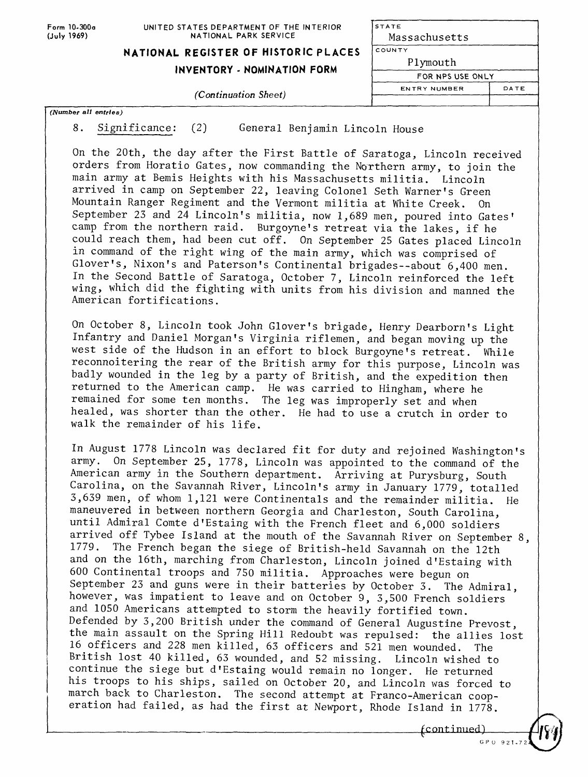Form 10-300a **(July** 1969)

#### UNITED STATES DEPARTMENT OF THE INTERIOR NATIONAL PARK SERVICE

**STATE** Massachusetts

## **NATIONAL REGISTER OF HISTORIC PLACES**

### **INVENTORY - NOMINATION FORM**

#### *(Continuation Sheet)*

| $\sqrt{(Number all entries)}$ |  |  |  |
|-------------------------------|--|--|--|

8. Significance: (2) General Benjamin Lincoln House

On the 20th, the day after the First Battle of Saratoga, Lincoln received orders from Horatio Gates, now commanding the Northern army, to join the main army at Bemis Heights with his Massachusetts militia. Lincoln arrived in camp on September 22, leaving Colonel Seth Warner's Green Mountain Ranger Regiment and the Vermont militia at White Creek. On September 23 and 24 Lincoln's militia, now 1,689 men, poured into Gates' camp from the northern raid. Burgoyne's retreat via the lakes, if he could reach them, had been cut off. On September 25 Gates placed Lincoln in command of the right wing of the main army, which was comprised of Glover's, Nixon's and Paterson's Continental brigades--about 6,400 men. In the Second Battle of Saratoga, October 7, Lincoln reinforced the left wing, which did the fighting with units from his division and manned the American fortifications.

On October 8, Lincoln took John Glover's brigade, Henry Dearborn's Light Infantry and Daniel Morgan's Virginia riflemen, and began moving up the west side of the Hudson in an effort to block Burgoyne's retreat. While reconnoitering the rear of the British army for this purpose, Lincoln was badly wounded in the leg by a party of British, and the expedition then returned to the American camp. He was carried to Hingham, where he remained for some ten months. The leg was improperly set and when healed, was shorter than the other. He had to use a crutch in order to walk the remainder of his life.

In August 1778 Lincoln was declared fit for duty and rejoined Washington's army. On September 25, 1778, Lincoln was appointed to the command of the American army in the Southern department. Arriving at Purysburg, South Carolina, on the Savannah River, Lincoln's army in January 1779, totalled 3,639 men, of whom 1,121 were Continentals and the remainder militia. He maneuvered in between northern Georgia and Charleston, South Carolina, until Admiral Comte d'Estaing with the French fleet and 6,000 soldiers arrived off Tybee Island at the mouth of the Savannah River on September 8, 1779. The French began the siege of British-held Savannah on the 12th and on the 16th, marching from Charleston, Lincoln joined d'Estaing with 600 Continental troops and 750 militia. Approaches were begun on September 23 and guns were in their batteries by October 3. The Admiral, however, was impatient to leave and on October 9, 3,500 French soldiers and 1050 Americans attempted to storm the heavily fortified town. Defended by 3,200 British under the command of General Augustine Prevost, the main assault on the Spring Hill Redoubt was repulsed: the allies lost 16 officers and 228 men killed, 63 officers and 521 men wounded. The British lost 40 killed, 63 wounded, and 52 missing. Lincoln wished to continue the siege but d'Estaing would remain no longer. He returned his troops to his ships, sailed on October 20, and Lincoln was forced to march back to Charleston. The second attempt at Franco-American cooperation had failed, as had the first at Newport, Rhode Island in 1778.

<sup>f</sup> continued)



ENTRY NUMBER DATE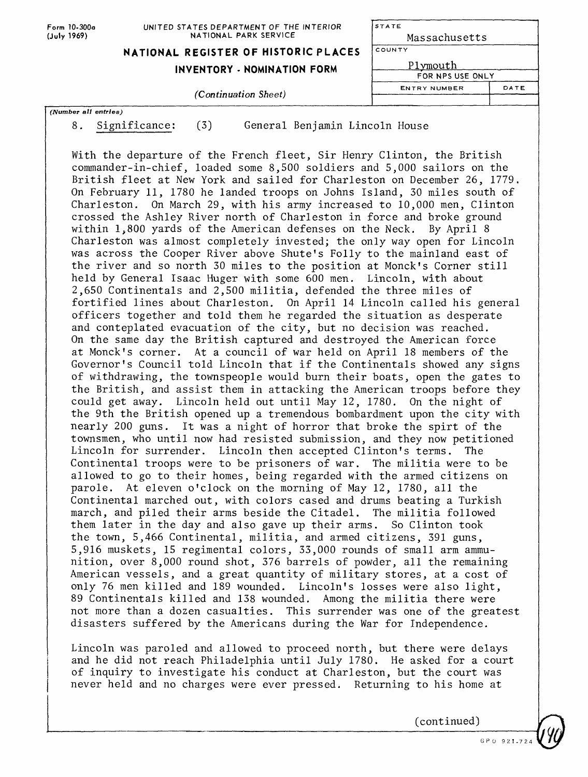| Form 10-300a<br>(July 1969) | UNITED STATES DEPARTMENT OF THE INTERIOR<br>NATIONAL PARK SERVICE | STATE<br>Massachusetts<br>COUNTY<br>Plymouth<br>FOR NPS USE ONLY |      |  |
|-----------------------------|-------------------------------------------------------------------|------------------------------------------------------------------|------|--|
|                             | NATIONAL REGISTER OF HISTORIC PLACES                              |                                                                  |      |  |
|                             | INVENTORY - NOMINATION FORM                                       |                                                                  |      |  |
|                             | <i>(Continuation Sheet)</i>                                       | <b>ENTRY NUMBER</b>                                              | DATE |  |
| (Number all entries)        |                                                                   |                                                                  |      |  |

- 
- 8. Significance: (3) General Benjamin Lincoln House

With the departure of the French fleet, Sir Henry Clinton, the British commander-in-chief, loaded some 8,500 soldiers and 5,000 sailors on the British fleet at New York and sailed for Charleston on December 26, 1779. On February 11, 1780 he landed troops on Johns Island, 30 miles south of Charleston. On March 29, with his army increased to 10,000 men, Clinton crossed the Ashley River north of Charleston in force and broke ground within 1,800 yards of the American defenses on the Neck. By April 8 Charleston was almost completely invested; the only way open for Lincoln was across the Cooper River above Shute's Folly to the mainland east of the river and so north 30 miles to the position at Monck's Corner still held by General Isaac Huger with some 600 men. Lincoln, with about 2,650 Continentals and 2,500 militia, defended the three miles of fortified lines about Charleston. On April 14 Lincoln called his general officers together and told them he regarded the situation as desperate and conteplated evacuation of the city, but no decision was reached. On the same day the British captured and destroyed the American force at Monck's corner. At a council of war held on April 18 members of the Governor's Council told Lincoln that if the Continentals showed any signs of withdrawing, the townspeople would burn their boats, open the gates to the British, and assist them in attacking the American troops before they could get away. Lincoln held out until May 12, 1780. On the night of the 9th the British opened up a tremendous bombardment upon the city with nearly 200 guns. It was a night of horror that broke the spirt of the townsmen, who until now had resisted submission, and they now petitioned Lincoln for surrender. Lincoln then accepted Clinton's terms. The Continental troops were to be prisoners of war. The militia were to be allowed to go to their homes, being regarded with the armed citizens on parole. At eleven o'clock on the morning of May 12, 1780, all the Continental marched out, with colors cased and drums beating a Turkish march, and piled their arms beside the Citadel. The militia followed them later in the day and also gave up their arms. So Clinton took the town, 5,466 Continental, militia, and armed citizens, 391 guns, 5,916 muskets, 15 regimental colors, 33,000 rounds of small arm ammunition, over 8,000 round shot, 376 barrels of powder, all the remaining American vessels, and a great quantity of military stores, at a cost of only 76 men killed and 189 wounded. Lincoln's losses were also light, 89 Continentals killed and 138 wounded. Among the militia there were not more than a dozen casualties. This surrender was one of the greatest disasters suffered by the Americans during the War for Independence.

Lincoln was paroled and allowed to proceed north, but there were delays and he did not reach Philadelphia until July 1780. He asked for a court of inquiry to investigate his conduct at Charleston, but the court was never held and no charges were ever pressed. Returning to his home at

(continued)